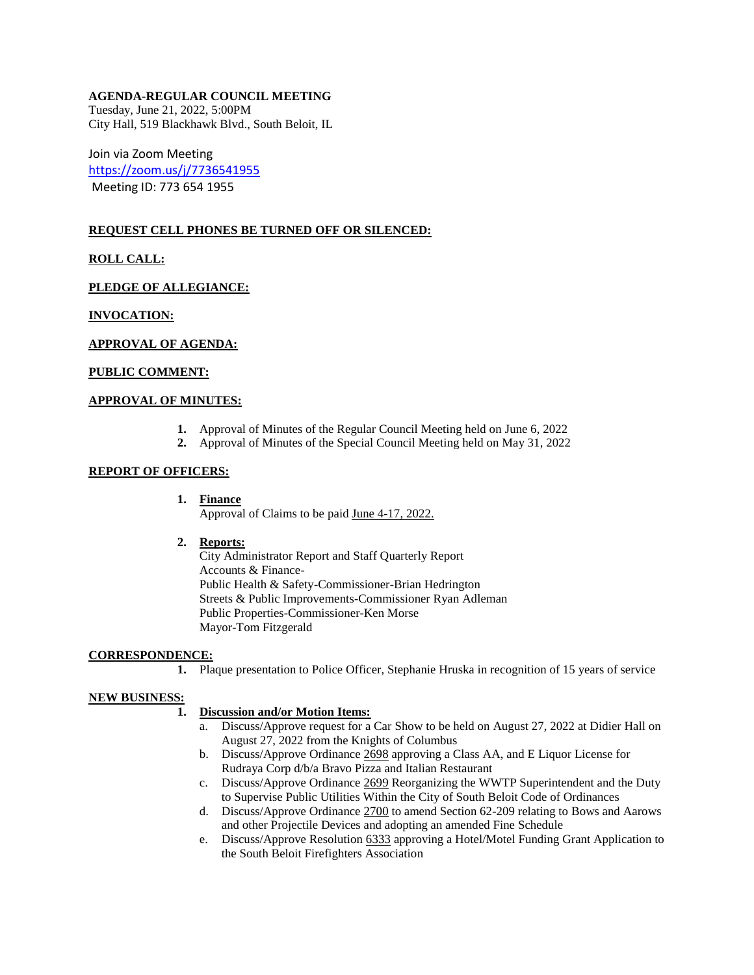# **AGENDA-REGULAR COUNCIL MEETING**

Tuesday, June 21, 2022, 5:00PM City Hall, 519 Blackhawk Blvd., South Beloit, IL

Join via Zoom Meeting <https://zoom.us/j/7736541955> Meeting ID: 773 654 1955

# **REQUEST CELL PHONES BE TURNED OFF OR SILENCED:**

# **ROLL CALL:**

**PLEDGE OF ALLEGIANCE:** 

# **INVOCATION:**

### **APPROVAL OF AGENDA:**

#### **PUBLIC COMMENT:**

## **APPROVAL OF MINUTES:**

- **1.** Approval of Minutes of the Regular Council Meeting held on June 6, 2022
- **2.** Approval of Minutes of the Special Council Meeting held on May 31, 2022

### **REPORT OF OFFICERS:**

#### **1. Finance**

Approval of Claims to be paid June 4-17, 2022.

#### **2. Reports:**

City Administrator Report and Staff Quarterly Report Accounts & Finance-Public Health & Safety-Commissioner-Brian Hedrington Streets & Public Improvements-Commissioner Ryan Adleman Public Properties-Commissioner-Ken Morse Mayor-Tom Fitzgerald

#### **CORRESPONDENCE:**

**1.** Plaque presentation to Police Officer, Stephanie Hruska in recognition of 15 years of service

#### **NEW BUSINESS:**

# **1. Discussion and/or Motion Items:**

- a. Discuss/Approve request for a Car Show to be held on August 27, 2022 at Didier Hall on August 27, 2022 from the Knights of Columbus
- b. Discuss/Approve Ordinance 2698 approving a Class AA, and E Liquor License for Rudraya Corp d/b/a Bravo Pizza and Italian Restaurant
- c. Discuss/Approve Ordinance 2699 Reorganizing the WWTP Superintendent and the Duty to Supervise Public Utilities Within the City of South Beloit Code of Ordinances
- d. Discuss/Approve Ordinance 2700 to amend Section 62-209 relating to Bows and Aarows and other Projectile Devices and adopting an amended Fine Schedule
- e. Discuss/Approve Resolution 6333 approving a Hotel/Motel Funding Grant Application to the South Beloit Firefighters Association